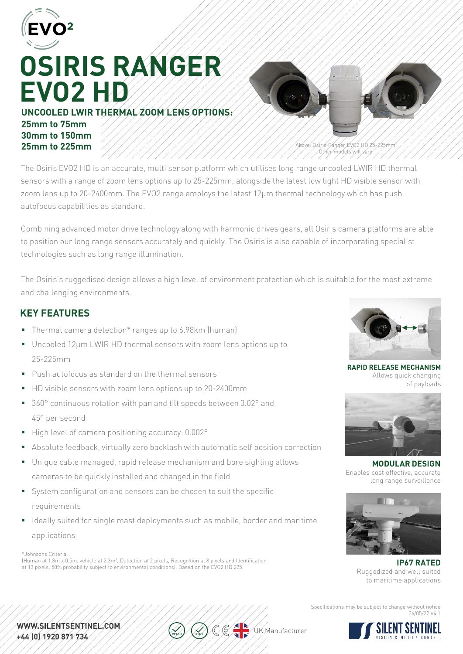

# **OSIRIS RANGER EVO2 HD**

**UNCOOLED LWIR THERMAL ZOOM LENS OPTIONS: 25mm to 75mm 30mm to 150mm 25mm to 225mm**



Above: Osiris Ranger EVO2 HD 25-225mm. Other models will vary.

The Osiris EVO2 HD is an accurate, multi sensor platform which utilises long range uncooled LWIR HD thermal sensors with a range of zoom lens options up to 25-225mm, alongside the latest low light HD visible sensor with zoom lens up to 20-2400mm. The EVO2 range employs the latest 12μm thermal technology which has push autofocus capabilities as standard.

Combining advanced motor drive technology along with harmonic drives gears, all Osiris camera platforms are able to position our long range sensors accurately and quickly. The Osiris is also capable of incorporating specialist technologies such as long range illumination.

The Osiris's ruggedised design allows a high level of environment protection which is suitable for the most extreme and challenging environments.

## **KEY FEATURES**

- Thermal camera detection\* ranges up to 6.98km (human)
- Uncooled 12µm LWIR HD thermal sensors with zoom lens options up to 25-225mm
- **Push autofocus as standard on the thermal sensors**
- HD visible sensors with zoom lens options up to 20-2400mm
- 360° continuous rotation with pan and tilt speeds between 0.02° and 45° per second
- High level of camera positioning accuracy: 0.002°
- Absolute feedback, virtually zero backlash with automatic self position correction
- Unique cable managed, rapid release mechanism and bore sighting allows cameras to be quickly installed and changed in the field
- System configuration and sensors can be chosen to suit the specific requirements
- I Ideally suited for single mast deployments such as mobile, border and maritime applications

\*Johnsons Criteria,

(Human at 1.8m x 0.5m, vehicle at 2.3m², Detection at 2 pixels, Recognition at 8 pixels and Identification at 13 pixels. 50% probability subject to environmental conditions). Based on the EVO2 HD 225.



**RAPID RELEASE MECHANISM** Allows quick changing of payloads



**MODULAR DESIGN** Enables cost effective, accurate long range surveillance



**IP67 RATED** Ruggedized and well suited to maritime applications

Specifications may be subject to change without notice 06/05/22 V4.1



WWW.SILENTSENTINEL.COM. +44 (0) 1920 871 734

**WK** Manufacturer